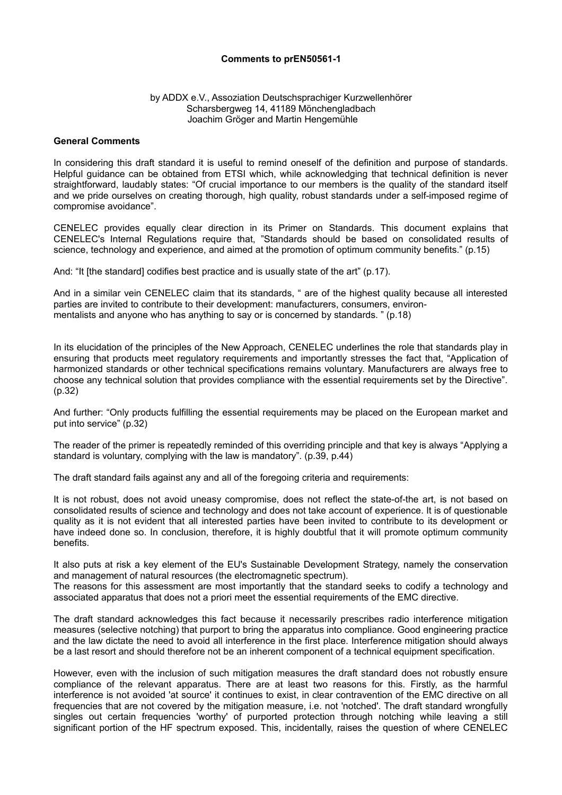## **Comments to prEN50561-1**

## by ADDX e.V., Assoziation Deutschsprachiger Kurzwellenhörer Scharsbergweg 14, 41189 Mönchengladbach Joachim Gröger and Martin Hengemühle

## **General Comments**

In considering this draft standard it is useful to remind oneself of the definition and purpose of standards. Helpful guidance can be obtained from ETSI which, while acknowledging that technical definition is never straightforward, laudably states: "Of crucial importance to our members is the quality of the standard itself and we pride ourselves on creating thorough, high quality, robust standards under a self-imposed regime of compromise avoidance".

CENELEC provides equally clear direction in its Primer on Standards. This document explains that CENELEC's Internal Regulations require that, "Standards should be based on consolidated results of science, technology and experience, and aimed at the promotion of optimum community benefits." (p.15)

And: "It [the standard] codifies best practice and is usually state of the art" (p.17).

And in a similar vein CENELEC claim that its standards, " are of the highest quality because all interested parties are invited to contribute to their development: manufacturers, consumers, environmentalists and anyone who has anything to say or is concerned by standards. " (p.18)

In its elucidation of the principles of the New Approach, CENELEC underlines the role that standards play in ensuring that products meet regulatory requirements and importantly stresses the fact that, "Application of harmonized standards or other technical specifications remains voluntary. Manufacturers are always free to choose any technical solution that provides compliance with the essential requirements set by the Directive". (p.32)

And further: "Only products fulfilling the essential requirements may be placed on the European market and put into service" (p.32)

The reader of the primer is repeatedly reminded of this overriding principle and that key is always "Applying a standard is voluntary, complying with the law is mandatory". (p.39, p.44)

The draft standard fails against any and all of the foregoing criteria and requirements:

It is not robust, does not avoid uneasy compromise, does not reflect the state-of-the art, is not based on consolidated results of science and technology and does not take account of experience. It is of questionable quality as it is not evident that all interested parties have been invited to contribute to its development or have indeed done so. In conclusion, therefore, it is highly doubtful that it will promote optimum community benefits.

It also puts at risk a key element of the EU's Sustainable Development Strategy, namely the conservation and management of natural resources (the electromagnetic spectrum).

The reasons for this assessment are most importantly that the standard seeks to codify a technology and associated apparatus that does not a priori meet the essential requirements of the EMC directive.

The draft standard acknowledges this fact because it necessarily prescribes radio interference mitigation measures (selective notching) that purport to bring the apparatus into compliance. Good engineering practice and the law dictate the need to avoid all interference in the first place. Interference mitigation should always be a last resort and should therefore not be an inherent component of a technical equipment specification.

However, even with the inclusion of such mitigation measures the draft standard does not robustly ensure compliance of the relevant apparatus. There are at least two reasons for this. Firstly, as the harmful interference is not avoided 'at source' it continues to exist, in clear contravention of the EMC directive on all frequencies that are not covered by the mitigation measure, i.e. not 'notched'. The draft standard wrongfully singles out certain frequencies 'worthy' of purported protection through notching while leaving a still significant portion of the HF spectrum exposed. This, incidentally, raises the question of where CENELEC